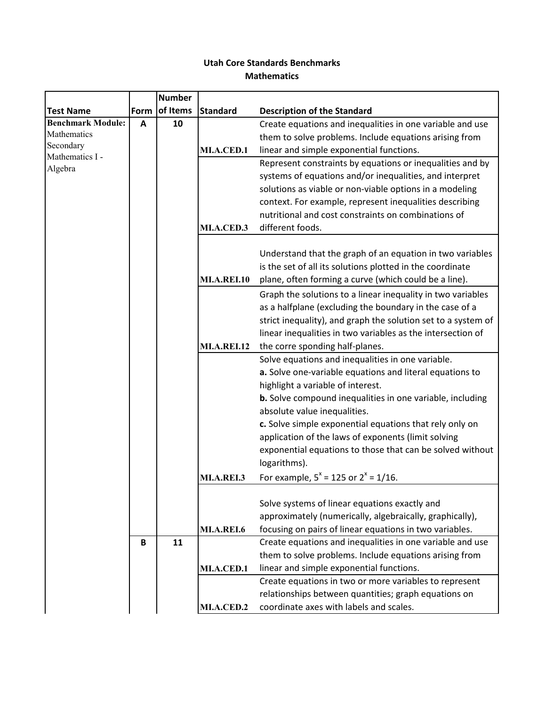## **Utah Core Standards Benchmarks Mathematics**

|                              |      | <b>Number</b> |                    |                                                               |
|------------------------------|------|---------------|--------------------|---------------------------------------------------------------|
| <b>Test Name</b>             | Form | of Items      | <b>Standard</b>    | <b>Description of the Standard</b>                            |
| <b>Benchmark Module:</b>     | A    | 10            |                    | Create equations and inequalities in one variable and use     |
| Mathematics                  |      |               |                    | them to solve problems. Include equations arising from        |
| Secondary<br>Mathematics I - |      |               | MI.A.CED.1         | linear and simple exponential functions.                      |
| Algebra                      |      |               |                    | Represent constraints by equations or inequalities and by     |
|                              |      |               |                    | systems of equations and/or inequalities, and interpret       |
|                              |      |               |                    | solutions as viable or non-viable options in a modeling       |
|                              |      |               |                    | context. For example, represent inequalities describing       |
|                              |      |               |                    | nutritional and cost constraints on combinations of           |
|                              |      |               | MI.A.CED.3         | different foods.                                              |
|                              |      |               |                    |                                                               |
|                              |      |               |                    | Understand that the graph of an equation in two variables     |
|                              |      |               |                    | is the set of all its solutions plotted in the coordinate     |
|                              |      |               | <b>MI.A.REI.10</b> | plane, often forming a curve (which could be a line).         |
|                              |      |               |                    | Graph the solutions to a linear inequality in two variables   |
|                              |      |               |                    | as a halfplane (excluding the boundary in the case of a       |
|                              |      |               |                    | strict inequality), and graph the solution set to a system of |
|                              |      |               |                    | linear inequalities in two variables as the intersection of   |
|                              |      |               | <b>MI.A.REI.12</b> | the corre sponding half-planes.                               |
|                              |      |               |                    | Solve equations and inequalities in one variable.             |
|                              |      |               |                    | a. Solve one-variable equations and literal equations to      |
|                              |      |               |                    | highlight a variable of interest.                             |
|                              |      |               |                    | b. Solve compound inequalities in one variable, including     |
|                              |      |               |                    | absolute value inequalities.                                  |
|                              |      |               |                    | c. Solve simple exponential equations that rely only on       |
|                              |      |               |                    | application of the laws of exponents (limit solving           |
|                              |      |               |                    | exponential equations to those that can be solved without     |
|                              |      |               |                    | logarithms).                                                  |
|                              |      |               | MI.A.REI.3         | For example, $5^x = 125$ or $2^x = 1/16$ .                    |
|                              |      |               |                    |                                                               |
|                              |      |               |                    | Solve systems of linear equations exactly and                 |
|                              |      |               |                    | approximately (numerically, algebraically, graphically),      |
|                              |      |               | <b>MI.A.REI.6</b>  | focusing on pairs of linear equations in two variables.       |
|                              | B    | 11            |                    | Create equations and inequalities in one variable and use     |
|                              |      |               |                    | them to solve problems. Include equations arising from        |
|                              |      |               | MI.A.CED.1         | linear and simple exponential functions.                      |
|                              |      |               |                    | Create equations in two or more variables to represent        |
|                              |      |               |                    | relationships between quantities; graph equations on          |
|                              |      |               | MI.A.CED.2         | coordinate axes with labels and scales.                       |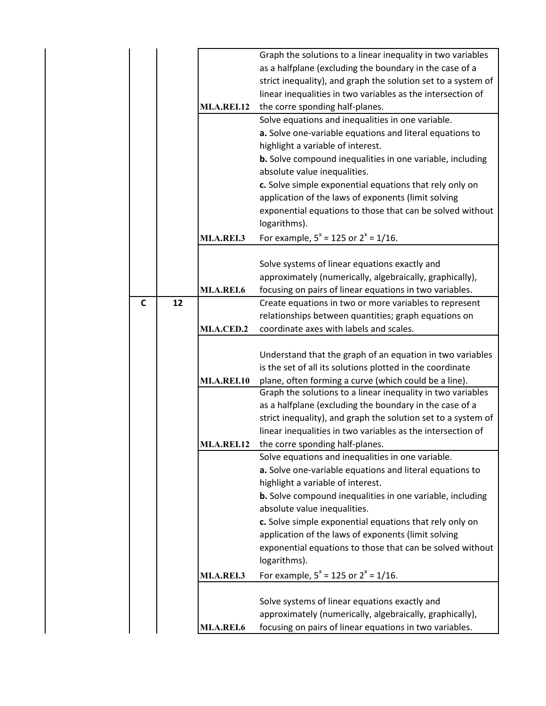|   |    |                    | Graph the solutions to a linear inequality in two variables      |
|---|----|--------------------|------------------------------------------------------------------|
|   |    |                    | as a halfplane (excluding the boundary in the case of a          |
|   |    |                    | strict inequality), and graph the solution set to a system of    |
|   |    |                    | linear inequalities in two variables as the intersection of      |
|   |    | <b>MI.A.REI.12</b> | the corre sponding half-planes.                                  |
|   |    |                    |                                                                  |
|   |    |                    | Solve equations and inequalities in one variable.                |
|   |    |                    | a. Solve one-variable equations and literal equations to         |
|   |    |                    | highlight a variable of interest.                                |
|   |    |                    | <b>b.</b> Solve compound inequalities in one variable, including |
|   |    |                    | absolute value inequalities.                                     |
|   |    |                    | c. Solve simple exponential equations that rely only on          |
|   |    |                    | application of the laws of exponents (limit solving              |
|   |    |                    | exponential equations to those that can be solved without        |
|   |    |                    | logarithms).                                                     |
|   |    |                    |                                                                  |
|   |    | <b>MI.A.REI.3</b>  | For example, $5^x = 125$ or $2^x = 1/16$ .                       |
|   |    |                    |                                                                  |
|   |    |                    | Solve systems of linear equations exactly and                    |
|   |    |                    | approximately (numerically, algebraically, graphically),         |
|   |    | MI.A.REI.6         | focusing on pairs of linear equations in two variables.          |
| C | 12 |                    | Create equations in two or more variables to represent           |
|   |    |                    | relationships between quantities; graph equations on             |
|   |    | <b>MI.A.CED.2</b>  | coordinate axes with labels and scales.                          |
|   |    |                    |                                                                  |
|   |    |                    | Understand that the graph of an equation in two variables        |
|   |    |                    | is the set of all its solutions plotted in the coordinate        |
|   |    | <b>MI.A.REI.10</b> | plane, often forming a curve (which could be a line).            |
|   |    |                    | Graph the solutions to a linear inequality in two variables      |
|   |    |                    | as a halfplane (excluding the boundary in the case of a          |
|   |    |                    |                                                                  |
|   |    |                    | strict inequality), and graph the solution set to a system of    |
|   |    |                    | linear inequalities in two variables as the intersection of      |
|   |    | <b>MI.A.REI.12</b> | the corre sponding half-planes.                                  |
|   |    |                    | Solve equations and inequalities in one variable.                |
|   |    |                    | a. Solve one-variable equations and literal equations to         |
|   |    |                    | highlight a variable of interest.                                |
|   |    |                    | <b>b.</b> Solve compound inequalities in one variable, including |
|   |    |                    | absolute value inequalities.                                     |
|   |    |                    | c. Solve simple exponential equations that rely only on          |
|   |    |                    | application of the laws of exponents (limit solving              |
|   |    |                    | exponential equations to those that can be solved without        |
|   |    |                    | logarithms).                                                     |
|   |    |                    |                                                                  |
|   |    | MI.A.REI.3         | For example, $5^x = 125$ or $2^x = 1/16$ .                       |
|   |    |                    |                                                                  |
|   |    |                    | Solve systems of linear equations exactly and                    |
|   |    |                    | approximately (numerically, algebraically, graphically),         |
|   |    | MI.A.REI.6         | focusing on pairs of linear equations in two variables.          |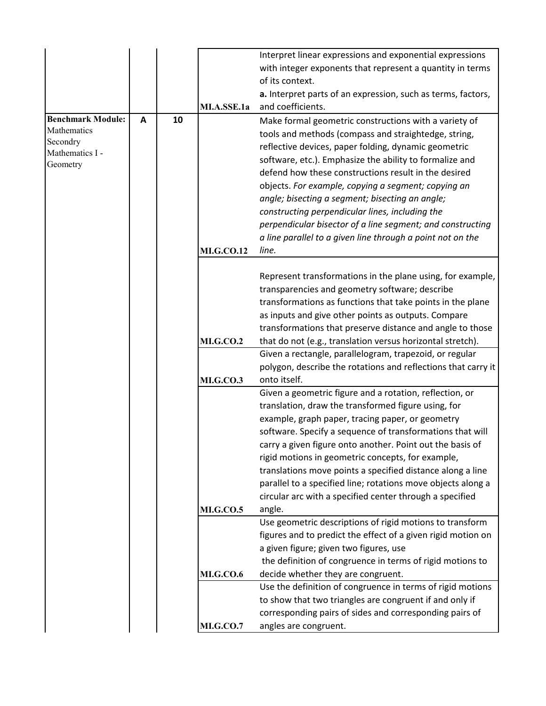|                             |   |    |                   | Interpret linear expressions and exponential expressions      |
|-----------------------------|---|----|-------------------|---------------------------------------------------------------|
|                             |   |    |                   | with integer exponents that represent a quantity in terms     |
|                             |   |    |                   | of its context.                                               |
|                             |   |    |                   | a. Interpret parts of an expression, such as terms, factors,  |
|                             |   |    | MI.A.SSE.1a       | and coefficients.                                             |
| <b>Benchmark Module:</b>    | A | 10 |                   | Make formal geometric constructions with a variety of         |
| Mathematics                 |   |    |                   | tools and methods (compass and straightedge, string,          |
| Secondry                    |   |    |                   | reflective devices, paper folding, dynamic geometric          |
| Mathematics I -<br>Geometry |   |    |                   | software, etc.). Emphasize the ability to formalize and       |
|                             |   |    |                   | defend how these constructions result in the desired          |
|                             |   |    |                   | objects. For example, copying a segment; copying an           |
|                             |   |    |                   | angle; bisecting a segment; bisecting an angle;               |
|                             |   |    |                   | constructing perpendicular lines, including the               |
|                             |   |    |                   | perpendicular bisector of a line segment; and constructing    |
|                             |   |    |                   | a line parallel to a given line through a point not on the    |
|                             |   |    | <b>MI.G.CO.12</b> | line.                                                         |
|                             |   |    |                   |                                                               |
|                             |   |    |                   | Represent transformations in the plane using, for example,    |
|                             |   |    |                   | transparencies and geometry software; describe                |
|                             |   |    |                   | transformations as functions that take points in the plane    |
|                             |   |    |                   | as inputs and give other points as outputs. Compare           |
|                             |   |    |                   | transformations that preserve distance and angle to those     |
|                             |   |    | <b>MI.G.CO.2</b>  | that do not (e.g., translation versus horizontal stretch).    |
|                             |   |    |                   | Given a rectangle, parallelogram, trapezoid, or regular       |
|                             |   |    |                   | polygon, describe the rotations and reflections that carry it |
|                             |   |    | <b>MI.G.CO.3</b>  | onto itself.                                                  |
|                             |   |    |                   | Given a geometric figure and a rotation, reflection, or       |
|                             |   |    |                   | translation, draw the transformed figure using, for           |
|                             |   |    |                   | example, graph paper, tracing paper, or geometry              |
|                             |   |    |                   | software. Specify a sequence of transformations that will     |
|                             |   |    |                   | carry a given figure onto another. Point out the basis of     |
|                             |   |    |                   | rigid motions in geometric concepts, for example,             |
|                             |   |    |                   | translations move points a specified distance along a line    |
|                             |   |    |                   | parallel to a specified line; rotations move objects along a  |
|                             |   |    |                   | circular arc with a specified center through a specified      |
|                             |   |    | <b>MI.G.CO.5</b>  | angle.                                                        |
|                             |   |    |                   | Use geometric descriptions of rigid motions to transform      |
|                             |   |    |                   | figures and to predict the effect of a given rigid motion on  |
|                             |   |    |                   | a given figure; given two figures, use                        |
|                             |   |    |                   | the definition of congruence in terms of rigid motions to     |
|                             |   |    | <b>MI.G.CO.6</b>  | decide whether they are congruent.                            |
|                             |   |    |                   | Use the definition of congruence in terms of rigid motions    |
|                             |   |    |                   | to show that two triangles are congruent if and only if       |
|                             |   |    |                   | corresponding pairs of sides and corresponding pairs of       |
|                             |   |    | <b>MI.G.CO.7</b>  | angles are congruent.                                         |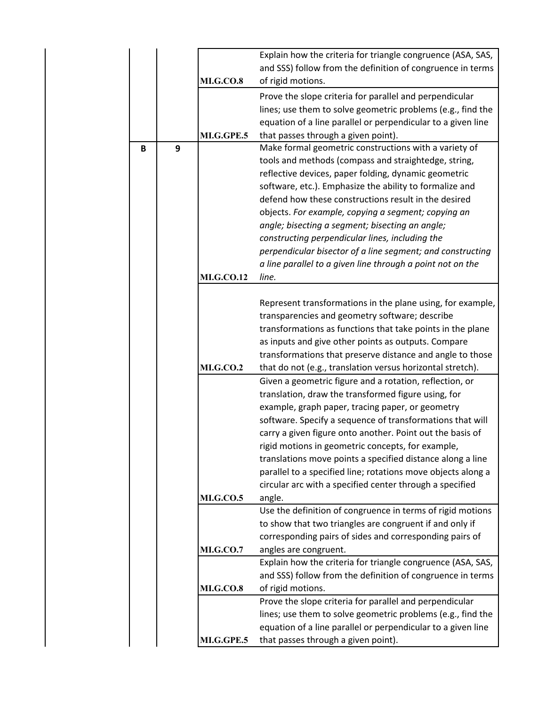|   |   |                   | Explain how the criteria for triangle congruence (ASA, SAS,                                        |  |  |  |  |  |
|---|---|-------------------|----------------------------------------------------------------------------------------------------|--|--|--|--|--|
|   |   |                   | and SSS) follow from the definition of congruence in terms                                         |  |  |  |  |  |
|   |   | <b>MI.G.CO.8</b>  | of rigid motions.                                                                                  |  |  |  |  |  |
|   |   |                   | Prove the slope criteria for parallel and perpendicular                                            |  |  |  |  |  |
|   |   |                   | lines; use them to solve geometric problems (e.g., find the                                        |  |  |  |  |  |
|   |   |                   | equation of a line parallel or perpendicular to a given line                                       |  |  |  |  |  |
|   |   | MI.G.GPE.5        | that passes through a given point).                                                                |  |  |  |  |  |
| B | 9 |                   | Make formal geometric constructions with a variety of                                              |  |  |  |  |  |
|   |   |                   | tools and methods (compass and straightedge, string,                                               |  |  |  |  |  |
|   |   |                   | reflective devices, paper folding, dynamic geometric                                               |  |  |  |  |  |
|   |   |                   | software, etc.). Emphasize the ability to formalize and                                            |  |  |  |  |  |
|   |   |                   | defend how these constructions result in the desired                                               |  |  |  |  |  |
|   |   |                   | objects. For example, copying a segment; copying an                                                |  |  |  |  |  |
|   |   |                   | angle; bisecting a segment; bisecting an angle;<br>constructing perpendicular lines, including the |  |  |  |  |  |
|   |   |                   | perpendicular bisector of a line segment; and constructing                                         |  |  |  |  |  |
|   |   |                   | a line parallel to a given line through a point not on the                                         |  |  |  |  |  |
|   |   | <b>MI.G.CO.12</b> | line.                                                                                              |  |  |  |  |  |
|   |   |                   |                                                                                                    |  |  |  |  |  |
|   |   |                   | Represent transformations in the plane using, for example,                                         |  |  |  |  |  |
|   |   |                   | transparencies and geometry software; describe                                                     |  |  |  |  |  |
|   |   |                   | transformations as functions that take points in the plane                                         |  |  |  |  |  |
|   |   |                   | as inputs and give other points as outputs. Compare                                                |  |  |  |  |  |
|   |   |                   | transformations that preserve distance and angle to those                                          |  |  |  |  |  |
|   |   | <b>MI.G.CO.2</b>  | that do not (e.g., translation versus horizontal stretch).                                         |  |  |  |  |  |
|   |   |                   | Given a geometric figure and a rotation, reflection, or                                            |  |  |  |  |  |
|   |   |                   | translation, draw the transformed figure using, for                                                |  |  |  |  |  |
|   |   |                   | example, graph paper, tracing paper, or geometry                                                   |  |  |  |  |  |
|   |   |                   | software. Specify a sequence of transformations that will                                          |  |  |  |  |  |
|   |   |                   | carry a given figure onto another. Point out the basis of                                          |  |  |  |  |  |
|   |   |                   | rigid motions in geometric concepts, for example,                                                  |  |  |  |  |  |
|   |   |                   | translations move points a specified distance along a line                                         |  |  |  |  |  |
|   |   |                   | parallel to a specified line; rotations move objects along a                                       |  |  |  |  |  |
|   |   |                   | circular arc with a specified center through a specified                                           |  |  |  |  |  |
|   |   | <b>MI.G.CO.5</b>  | angle.<br>Use the definition of congruence in terms of rigid motions                               |  |  |  |  |  |
|   |   |                   | to show that two triangles are congruent if and only if                                            |  |  |  |  |  |
|   |   |                   | corresponding pairs of sides and corresponding pairs of                                            |  |  |  |  |  |
|   |   | <b>MI.G.CO.7</b>  | angles are congruent.                                                                              |  |  |  |  |  |
|   |   |                   | Explain how the criteria for triangle congruence (ASA, SAS,                                        |  |  |  |  |  |
|   |   |                   | and SSS) follow from the definition of congruence in terms                                         |  |  |  |  |  |
|   |   | <b>MI.G.CO.8</b>  | of rigid motions.                                                                                  |  |  |  |  |  |
|   |   |                   | Prove the slope criteria for parallel and perpendicular                                            |  |  |  |  |  |
|   |   |                   | lines; use them to solve geometric problems (e.g., find the                                        |  |  |  |  |  |
|   |   |                   | equation of a line parallel or perpendicular to a given line                                       |  |  |  |  |  |
|   |   | MI.G.GPE.5        | that passes through a given point).                                                                |  |  |  |  |  |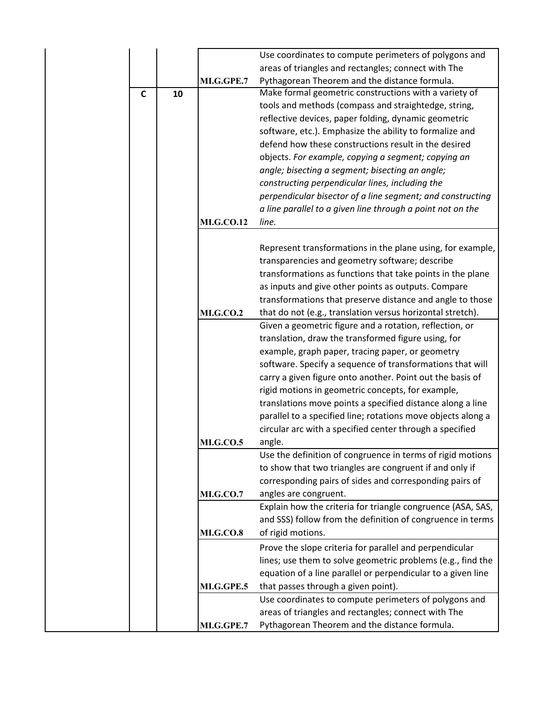|   |    |                   | Use coordinates to compute perimeters of polygons and        |  |  |  |  |
|---|----|-------------------|--------------------------------------------------------------|--|--|--|--|
|   |    |                   | areas of triangles and rectangles; connect with The          |  |  |  |  |
|   |    | MI.G.GPE.7        | Pythagorean Theorem and the distance formula.                |  |  |  |  |
| C | 10 |                   | Make formal geometric constructions with a variety of        |  |  |  |  |
|   |    |                   | tools and methods (compass and straightedge, string,         |  |  |  |  |
|   |    |                   | reflective devices, paper folding, dynamic geometric         |  |  |  |  |
|   |    |                   | software, etc.). Emphasize the ability to formalize and      |  |  |  |  |
|   |    |                   | defend how these constructions result in the desired         |  |  |  |  |
|   |    |                   | objects. For example, copying a segment; copying an          |  |  |  |  |
|   |    |                   | angle; bisecting a segment; bisecting an angle;              |  |  |  |  |
|   |    |                   | constructing perpendicular lines, including the              |  |  |  |  |
|   |    |                   | perpendicular bisector of a line segment; and constructing   |  |  |  |  |
|   |    |                   | a line parallel to a given line through a point not on the   |  |  |  |  |
|   |    | <b>MI.G.CO.12</b> | line.                                                        |  |  |  |  |
|   |    |                   |                                                              |  |  |  |  |
|   |    |                   | Represent transformations in the plane using, for example,   |  |  |  |  |
|   |    |                   | transparencies and geometry software; describe               |  |  |  |  |
|   |    |                   | transformations as functions that take points in the plane   |  |  |  |  |
|   |    |                   | as inputs and give other points as outputs. Compare          |  |  |  |  |
|   |    |                   | transformations that preserve distance and angle to those    |  |  |  |  |
|   |    | <b>MI.G.CO.2</b>  | that do not (e.g., translation versus horizontal stretch).   |  |  |  |  |
|   |    |                   | Given a geometric figure and a rotation, reflection, or      |  |  |  |  |
|   |    |                   | translation, draw the transformed figure using, for          |  |  |  |  |
|   |    |                   | example, graph paper, tracing paper, or geometry             |  |  |  |  |
|   |    |                   | software. Specify a sequence of transformations that will    |  |  |  |  |
|   |    |                   | carry a given figure onto another. Point out the basis of    |  |  |  |  |
|   |    |                   | rigid motions in geometric concepts, for example,            |  |  |  |  |
|   |    |                   | translations move points a specified distance along a line   |  |  |  |  |
|   |    |                   | parallel to a specified line; rotations move objects along a |  |  |  |  |
|   |    |                   | circular arc with a specified center through a specified     |  |  |  |  |
|   |    | <b>MI.G.CO.5</b>  | angle.                                                       |  |  |  |  |
|   |    |                   | Use the definition of congruence in terms of rigid motions   |  |  |  |  |
|   |    |                   | to show that two triangles are congruent if and only if      |  |  |  |  |
|   |    |                   | corresponding pairs of sides and corresponding pairs of      |  |  |  |  |
|   |    | <b>MI.G.CO.7</b>  | angles are congruent.                                        |  |  |  |  |
|   |    |                   | Explain how the criteria for triangle congruence (ASA, SAS,  |  |  |  |  |
|   |    |                   | and SSS) follow from the definition of congruence in terms   |  |  |  |  |
|   |    | <b>MI.G.CO.8</b>  | of rigid motions.                                            |  |  |  |  |
|   |    |                   | Prove the slope criteria for parallel and perpendicular      |  |  |  |  |
|   |    |                   | lines; use them to solve geometric problems (e.g., find the  |  |  |  |  |
|   |    |                   | equation of a line parallel or perpendicular to a given line |  |  |  |  |
|   |    | MI.G.GPE.5        | that passes through a given point).                          |  |  |  |  |
|   |    |                   | Use coordinates to compute perimeters of polygons and        |  |  |  |  |
|   |    |                   | areas of triangles and rectangles; connect with The          |  |  |  |  |
|   |    | MI.G.GPE.7        | Pythagorean Theorem and the distance formula.                |  |  |  |  |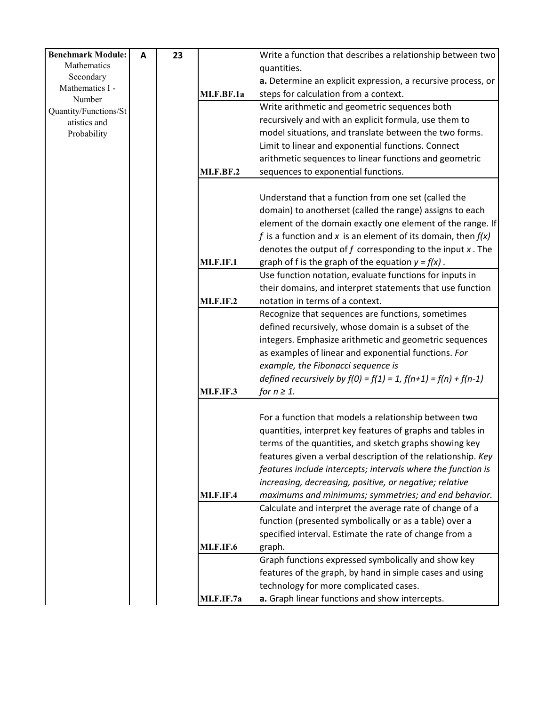| <b>Benchmark Module:</b> | A | 23 |                  | Write a function that describes a relationship between two          |
|--------------------------|---|----|------------------|---------------------------------------------------------------------|
| Mathematics              |   |    |                  | quantities.                                                         |
| Secondary                |   |    |                  | a. Determine an explicit expression, a recursive process, or        |
| Mathematics I -          |   |    | MI.F.BF.1a       | steps for calculation from a context.                               |
| Number                   |   |    |                  |                                                                     |
| Quantity/Functions/St    |   |    |                  | Write arithmetic and geometric sequences both                       |
| atistics and             |   |    |                  | recursively and with an explicit formula, use them to               |
| Probability              |   |    |                  | model situations, and translate between the two forms.              |
|                          |   |    |                  | Limit to linear and exponential functions. Connect                  |
|                          |   |    |                  | arithmetic sequences to linear functions and geometric              |
|                          |   |    | <b>MI.F.BF.2</b> | sequences to exponential functions.                                 |
|                          |   |    |                  |                                                                     |
|                          |   |    |                  | Understand that a function from one set (called the                 |
|                          |   |    |                  | domain) to anotherset (called the range) assigns to each            |
|                          |   |    |                  | element of the domain exactly one element of the range. If          |
|                          |   |    |                  |                                                                     |
|                          |   |    |                  | f is a function and x is an element of its domain, then $f(x)$      |
|                          |   |    |                  | denotes the output of $f$ corresponding to the input $x$ . The      |
|                          |   |    | <b>MI.F.IF.1</b> | graph of f is the graph of the equation $y = f(x)$ .                |
|                          |   |    |                  | Use function notation, evaluate functions for inputs in             |
|                          |   |    |                  | their domains, and interpret statements that use function           |
|                          |   |    | <b>MI.F.IF.2</b> | notation in terms of a context.                                     |
|                          |   |    |                  | Recognize that sequences are functions, sometimes                   |
|                          |   |    |                  | defined recursively, whose domain is a subset of the                |
|                          |   |    |                  | integers. Emphasize arithmetic and geometric sequences              |
|                          |   |    |                  | as examples of linear and exponential functions. For                |
|                          |   |    |                  | example, the Fibonacci sequence is                                  |
|                          |   |    |                  | defined recursively by $f(0) = f(1) = 1$ , $f(n+1) = f(n) + f(n-1)$ |
|                          |   |    |                  |                                                                     |
|                          |   |    | <b>MI.F.IF.3</b> | for $n \geq 1$ .                                                    |
|                          |   |    |                  | For a function that models a relationship between two               |
|                          |   |    |                  |                                                                     |
|                          |   |    |                  | quantities, interpret key features of graphs and tables in          |
|                          |   |    |                  | terms of the quantities, and sketch graphs showing key              |
|                          |   |    |                  | features given a verbal description of the relationship. Key        |
|                          |   |    |                  | features include intercepts; intervals where the function is        |
|                          |   |    |                  | increasing, decreasing, positive, or negative; relative             |
|                          |   |    | <b>MI.F.IF.4</b> | maximums and minimums; symmetries; and end behavior.                |
|                          |   |    |                  | Calculate and interpret the average rate of change of a             |
|                          |   |    |                  | function (presented symbolically or as a table) over a              |
|                          |   |    |                  | specified interval. Estimate the rate of change from a              |
|                          |   |    | <b>MI.F.IF.6</b> | graph.                                                              |
|                          |   |    |                  | Graph functions expressed symbolically and show key                 |
|                          |   |    |                  | features of the graph, by hand in simple cases and using            |
|                          |   |    |                  |                                                                     |
|                          |   |    |                  | technology for more complicated cases.                              |
|                          |   |    | MI.F.IF.7a       | a. Graph linear functions and show intercepts.                      |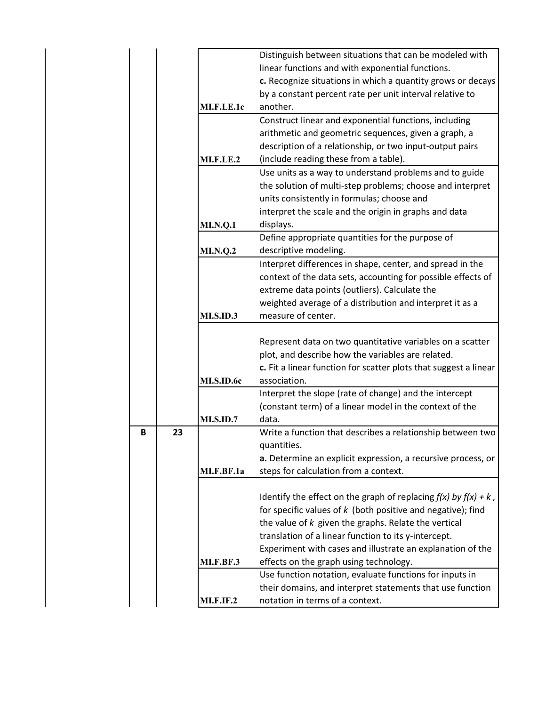|    |                  | Distinguish between situations that can be modeled with              |
|----|------------------|----------------------------------------------------------------------|
|    |                  | linear functions and with exponential functions.                     |
|    |                  | c. Recognize situations in which a quantity grows or decays          |
|    |                  | by a constant percent rate per unit interval relative to             |
|    | MI.F.LE.1c       | another.                                                             |
|    |                  | Construct linear and exponential functions, including                |
|    |                  | arithmetic and geometric sequences, given a graph, a                 |
|    |                  | description of a relationship, or two input-output pairs             |
|    | <b>MI.F.LE.2</b> | (include reading these from a table).                                |
|    |                  | Use units as a way to understand problems and to guide               |
|    |                  | the solution of multi-step problems; choose and interpret            |
|    |                  | units consistently in formulas; choose and                           |
|    |                  | interpret the scale and the origin in graphs and data                |
|    | <b>MI.N.Q.1</b>  | displays.                                                            |
|    |                  | Define appropriate quantities for the purpose of                     |
|    | <b>MI.N.Q.2</b>  | descriptive modeling.                                                |
|    |                  | Interpret differences in shape, center, and spread in the            |
|    |                  | context of the data sets, accounting for possible effects of         |
|    |                  | extreme data points (outliers). Calculate the                        |
|    |                  | weighted average of a distribution and interpret it as a             |
|    | <b>MI.S.ID.3</b> | measure of center.                                                   |
|    |                  |                                                                      |
|    |                  | Represent data on two quantitative variables on a scatter            |
|    |                  | plot, and describe how the variables are related.                    |
|    |                  | c. Fit a linear function for scatter plots that suggest a linear     |
|    | MI.S.ID.6c       | association.                                                         |
|    |                  | Interpret the slope (rate of change) and the intercept               |
|    |                  | (constant term) of a linear model in the context of the              |
|    | <b>MI.S.ID.7</b> | data.                                                                |
| 23 |                  | Write a function that describes a relationship between two           |
|    |                  | quantities.                                                          |
|    |                  | a. Determine an explicit expression, a recursive process, or         |
|    | MI.F.BF.1a       | steps for calculation from a context.                                |
|    |                  |                                                                      |
|    |                  | Identify the effect on the graph of replacing $f(x)$ by $f(x) + k$ , |
|    |                  | for specific values of $k$ (both positive and negative); find        |
|    |                  | the value of $k$ given the graphs. Relate the vertical               |
|    |                  | translation of a linear function to its y-intercept.                 |
|    |                  | Experiment with cases and illustrate an explanation of the           |
|    | MI.F.BF.3        | effects on the graph using technology.                               |
|    |                  | Use function notation, evaluate functions for inputs in              |
|    |                  | their domains, and interpret statements that use function            |
|    |                  | notation in terms of a context.                                      |
|    | <b>MI.F.IF.2</b> |                                                                      |

**B 23**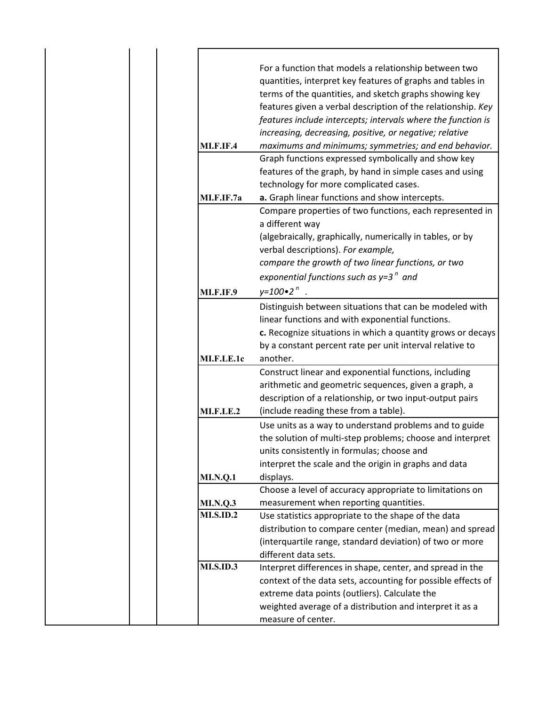| <b>MI.F.IF.4</b> | For a function that models a relationship between two<br>quantities, interpret key features of graphs and tables in<br>terms of the quantities, and sketch graphs showing key<br>features given a verbal description of the relationship. Key<br>features include intercepts; intervals where the function is<br>increasing, decreasing, positive, or negative; relative<br>maximums and minimums; symmetries; and end behavior.<br>Graph functions expressed symbolically and show key |
|------------------|-----------------------------------------------------------------------------------------------------------------------------------------------------------------------------------------------------------------------------------------------------------------------------------------------------------------------------------------------------------------------------------------------------------------------------------------------------------------------------------------|
|                  | features of the graph, by hand in simple cases and using                                                                                                                                                                                                                                                                                                                                                                                                                                |
|                  | technology for more complicated cases.                                                                                                                                                                                                                                                                                                                                                                                                                                                  |
| MI.F.IF.7a       | a. Graph linear functions and show intercepts.                                                                                                                                                                                                                                                                                                                                                                                                                                          |
|                  | Compare properties of two functions, each represented in<br>a different way                                                                                                                                                                                                                                                                                                                                                                                                             |
|                  | (algebraically, graphically, numerically in tables, or by<br>verbal descriptions). For example,                                                                                                                                                                                                                                                                                                                                                                                         |
|                  | compare the growth of two linear functions, or two                                                                                                                                                                                                                                                                                                                                                                                                                                      |
|                  | exponential functions such as $y=3^n$ and                                                                                                                                                                                                                                                                                                                                                                                                                                               |
| <b>MI.F.IF.9</b> | $y=100$ $\cdot$ 2 <sup>n</sup>                                                                                                                                                                                                                                                                                                                                                                                                                                                          |
|                  | Distinguish between situations that can be modeled with<br>linear functions and with exponential functions.<br>c. Recognize situations in which a quantity grows or decays<br>by a constant percent rate per unit interval relative to                                                                                                                                                                                                                                                  |
| MI.F.LE.1c       | another.                                                                                                                                                                                                                                                                                                                                                                                                                                                                                |
|                  | Construct linear and exponential functions, including                                                                                                                                                                                                                                                                                                                                                                                                                                   |
|                  | arithmetic and geometric sequences, given a graph, a                                                                                                                                                                                                                                                                                                                                                                                                                                    |
|                  | description of a relationship, or two input-output pairs                                                                                                                                                                                                                                                                                                                                                                                                                                |
| <b>MI.F.LE.2</b> | (include reading these from a table).                                                                                                                                                                                                                                                                                                                                                                                                                                                   |
|                  | Use units as a way to understand problems and to guide<br>the solution of multi-step problems; choose and interpret<br>units consistently in formulas; choose and<br>interpret the scale and the origin in graphs and data                                                                                                                                                                                                                                                              |
| <b>MI.N.Q.1</b>  | displays.                                                                                                                                                                                                                                                                                                                                                                                                                                                                               |
|                  | Choose a level of accuracy appropriate to limitations on                                                                                                                                                                                                                                                                                                                                                                                                                                |
| <b>MI.N.Q.3</b>  | measurement when reporting quantities.                                                                                                                                                                                                                                                                                                                                                                                                                                                  |
| <b>MI.S.ID.2</b> | Use statistics appropriate to the shape of the data                                                                                                                                                                                                                                                                                                                                                                                                                                     |
|                  | distribution to compare center (median, mean) and spread                                                                                                                                                                                                                                                                                                                                                                                                                                |
|                  | (interquartile range, standard deviation) of two or more<br>different data sets.                                                                                                                                                                                                                                                                                                                                                                                                        |
| <b>MI.S.ID.3</b> | Interpret differences in shape, center, and spread in the                                                                                                                                                                                                                                                                                                                                                                                                                               |
|                  | context of the data sets, accounting for possible effects of<br>extreme data points (outliers). Calculate the                                                                                                                                                                                                                                                                                                                                                                           |
|                  | weighted average of a distribution and interpret it as a<br>measure of center.                                                                                                                                                                                                                                                                                                                                                                                                          |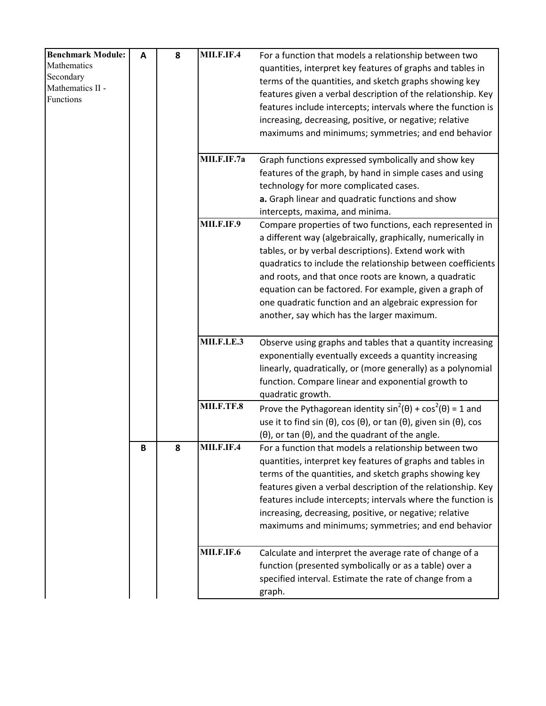| <b>Benchmark Module:</b> | Α | 8 | MII.F.IF.4        | For a function that models a relationship between two                                               |
|--------------------------|---|---|-------------------|-----------------------------------------------------------------------------------------------------|
| Mathematics              |   |   |                   | quantities, interpret key features of graphs and tables in                                          |
| Secondary                |   |   |                   | terms of the quantities, and sketch graphs showing key                                              |
| Mathematics II -         |   |   |                   | features given a verbal description of the relationship. Key                                        |
| Functions                |   |   |                   |                                                                                                     |
|                          |   |   |                   | features include intercepts; intervals where the function is                                        |
|                          |   |   |                   | increasing, decreasing, positive, or negative; relative                                             |
|                          |   |   |                   | maximums and minimums; symmetries; and end behavior                                                 |
|                          |   |   | MII.F.IF.7a       | Graph functions expressed symbolically and show key                                                 |
|                          |   |   |                   | features of the graph, by hand in simple cases and using                                            |
|                          |   |   |                   | technology for more complicated cases.                                                              |
|                          |   |   |                   | a. Graph linear and quadratic functions and show                                                    |
|                          |   |   |                   | intercepts, maxima, and minima.                                                                     |
|                          |   |   | <b>MII.F.IF.9</b> | Compare properties of two functions, each represented in                                            |
|                          |   |   |                   | a different way (algebraically, graphically, numerically in                                         |
|                          |   |   |                   | tables, or by verbal descriptions). Extend work with                                                |
|                          |   |   |                   | quadratics to include the relationship between coefficients                                         |
|                          |   |   |                   |                                                                                                     |
|                          |   |   |                   | and roots, and that once roots are known, a quadratic                                               |
|                          |   |   |                   | equation can be factored. For example, given a graph of                                             |
|                          |   |   |                   | one quadratic function and an algebraic expression for                                              |
|                          |   |   |                   | another, say which has the larger maximum.                                                          |
|                          |   |   | MII.F.LE.3        | Observe using graphs and tables that a quantity increasing                                          |
|                          |   |   |                   | exponentially eventually exceeds a quantity increasing                                              |
|                          |   |   |                   | linearly, quadratically, or (more generally) as a polynomial                                        |
|                          |   |   |                   | function. Compare linear and exponential growth to                                                  |
|                          |   |   |                   | quadratic growth.                                                                                   |
|                          |   |   | MII.F.TF.8        | Prove the Pythagorean identity $sin^2(\theta) + cos^2(\theta) = 1$ and                              |
|                          |   |   |                   | use it to find sin ( $\theta$ ), cos ( $\theta$ ), or tan ( $\theta$ ), given sin ( $\theta$ ), cos |
|                          |   |   |                   | $(\theta)$ , or tan $(\theta)$ , and the quadrant of the angle.                                     |
|                          | B | 8 | MII.F.IF.4        | For a function that models a relationship between two                                               |
|                          |   |   |                   | quantities, interpret key features of graphs and tables in                                          |
|                          |   |   |                   | terms of the quantities, and sketch graphs showing key                                              |
|                          |   |   |                   | features given a verbal description of the relationship. Key                                        |
|                          |   |   |                   | features include intercepts; intervals where the function is                                        |
|                          |   |   |                   | increasing, decreasing, positive, or negative; relative                                             |
|                          |   |   |                   | maximums and minimums; symmetries; and end behavior                                                 |
|                          |   |   | <b>MII.F.IF.6</b> | Calculate and interpret the average rate of change of a                                             |
|                          |   |   |                   | function (presented symbolically or as a table) over a                                              |
|                          |   |   |                   | specified interval. Estimate the rate of change from a                                              |
|                          |   |   |                   | graph.                                                                                              |
|                          |   |   |                   |                                                                                                     |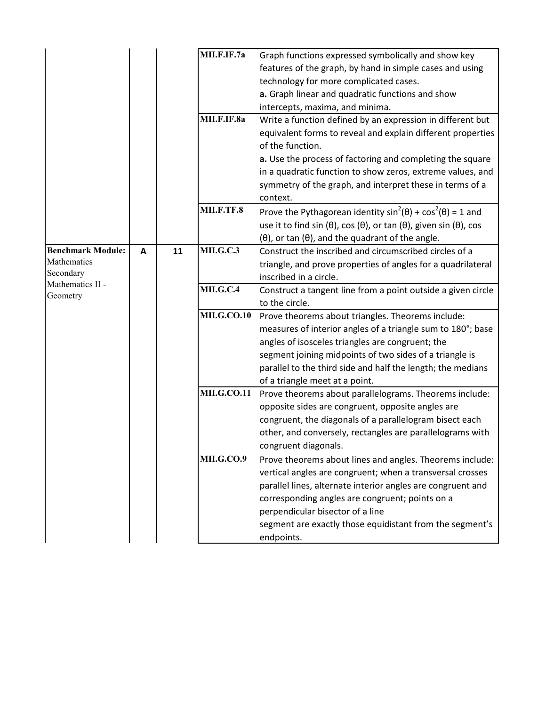|                                                                          |   |    | MII.F.IF.7a        | Graph functions expressed symbolically and show key<br>features of the graph, by hand in simple cases and using<br>technology for more complicated cases.<br>a. Graph linear and quadratic functions and show<br>intercepts, maxima, and minima.                                                                                                      |
|--------------------------------------------------------------------------|---|----|--------------------|-------------------------------------------------------------------------------------------------------------------------------------------------------------------------------------------------------------------------------------------------------------------------------------------------------------------------------------------------------|
|                                                                          |   |    | MII.F.IF.8a        | Write a function defined by an expression in different but<br>equivalent forms to reveal and explain different properties<br>of the function.                                                                                                                                                                                                         |
|                                                                          |   |    |                    | a. Use the process of factoring and completing the square<br>in a quadratic function to show zeros, extreme values, and<br>symmetry of the graph, and interpret these in terms of a<br>context.                                                                                                                                                       |
|                                                                          |   |    | MII.F.TF.8         | Prove the Pythagorean identity $sin^2(\theta) + cos^2(\theta) = 1$ and<br>use it to find sin ( $\theta$ ), cos ( $\theta$ ), or tan ( $\theta$ ), given sin ( $\theta$ ), cos<br>$(\theta)$ , or tan $(\theta)$ , and the quadrant of the angle.                                                                                                      |
| <b>Benchmark Module:</b><br>Mathematics<br>Secondary<br>Mathematics II - | A | 11 | <b>MILG.C.3</b>    | Construct the inscribed and circumscribed circles of a<br>triangle, and prove properties of angles for a quadrilateral<br>inscribed in a circle.                                                                                                                                                                                                      |
| Geometry                                                                 |   |    | <b>MII.G.C.4</b>   | Construct a tangent line from a point outside a given circle<br>to the circle.                                                                                                                                                                                                                                                                        |
|                                                                          |   |    | <b>MILG.CO.10</b>  | Prove theorems about triangles. Theorems include:<br>measures of interior angles of a triangle sum to 180°; base<br>angles of isosceles triangles are congruent; the<br>segment joining midpoints of two sides of a triangle is<br>parallel to the third side and half the length; the medians<br>of a triangle meet at a point.                      |
|                                                                          |   |    | <b>MII.G.CO.11</b> | Prove theorems about parallelograms. Theorems include:<br>opposite sides are congruent, opposite angles are<br>congruent, the diagonals of a parallelogram bisect each<br>other, and conversely, rectangles are parallelograms with<br>congruent diagonals.                                                                                           |
|                                                                          |   |    | <b>MILG.CO.9</b>   | Prove theorems about lines and angles. Theorems include:<br>vertical angles are congruent; when a transversal crosses<br>parallel lines, alternate interior angles are congruent and<br>corresponding angles are congruent; points on a<br>perpendicular bisector of a line<br>segment are exactly those equidistant from the segment's<br>endpoints. |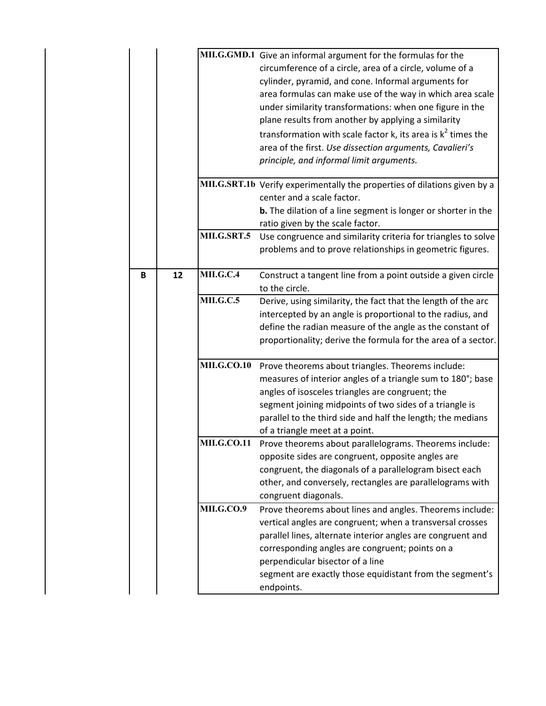|   |    |                    | MII.G.GMD.1 Give an informal argument for the formulas for the            |
|---|----|--------------------|---------------------------------------------------------------------------|
|   |    |                    | circumference of a circle, area of a circle, volume of a                  |
|   |    |                    | cylinder, pyramid, and cone. Informal arguments for                       |
|   |    |                    | area formulas can make use of the way in which area scale                 |
|   |    |                    | under similarity transformations: when one figure in the                  |
|   |    |                    | plane results from another by applying a similarity                       |
|   |    |                    | transformation with scale factor k, its area is $k^2$ times the           |
|   |    |                    | area of the first. Use dissection arguments, Cavalieri's                  |
|   |    |                    | principle, and informal limit arguments.                                  |
|   |    |                    | MII.G.SRT.1b Verify experimentally the properties of dilations given by a |
|   |    |                    | center and a scale factor.                                                |
|   |    |                    | <b>b.</b> The dilation of a line segment is longer or shorter in the      |
|   |    |                    | ratio given by the scale factor.                                          |
|   |    | MILG.SRT.5         | Use congruence and similarity criteria for triangles to solve             |
|   |    |                    | problems and to prove relationships in geometric figures.                 |
| В | 12 | <b>MII.G.C.4</b>   | Construct a tangent line from a point outside a given circle              |
|   |    |                    | to the circle.                                                            |
|   |    | <b>MILG.C.5</b>    | Derive, using similarity, the fact that the length of the arc             |
|   |    |                    | intercepted by an angle is proportional to the radius, and                |
|   |    |                    | define the radian measure of the angle as the constant of                 |
|   |    |                    | proportionality; derive the formula for the area of a sector.             |
|   |    |                    |                                                                           |
|   |    | <b>MILG.CO.10</b>  | Prove theorems about triangles. Theorems include:                         |
|   |    |                    | measures of interior angles of a triangle sum to 180°; base               |
|   |    |                    | angles of isosceles triangles are congruent; the                          |
|   |    |                    | segment joining midpoints of two sides of a triangle is                   |
|   |    |                    | parallel to the third side and half the length; the medians               |
|   |    |                    | of a triangle meet at a point.                                            |
|   |    | <b>MII.G.CO.11</b> | Prove theorems about parallelograms. Theorems include:                    |
|   |    |                    | opposite sides are congruent, opposite angles are                         |
|   |    |                    | congruent, the diagonals of a parallelogram bisect each                   |
|   |    |                    | other, and conversely, rectangles are parallelograms with                 |
|   |    |                    |                                                                           |
|   |    |                    | congruent diagonals.                                                      |
|   |    | <b>MILG.CO.9</b>   | Prove theorems about lines and angles. Theorems include:                  |
|   |    |                    | vertical angles are congruent; when a transversal crosses                 |
|   |    |                    | parallel lines, alternate interior angles are congruent and               |
|   |    |                    | corresponding angles are congruent; points on a                           |
|   |    |                    | perpendicular bisector of a line                                          |
|   |    |                    | segment are exactly those equidistant from the segment's                  |
|   |    |                    |                                                                           |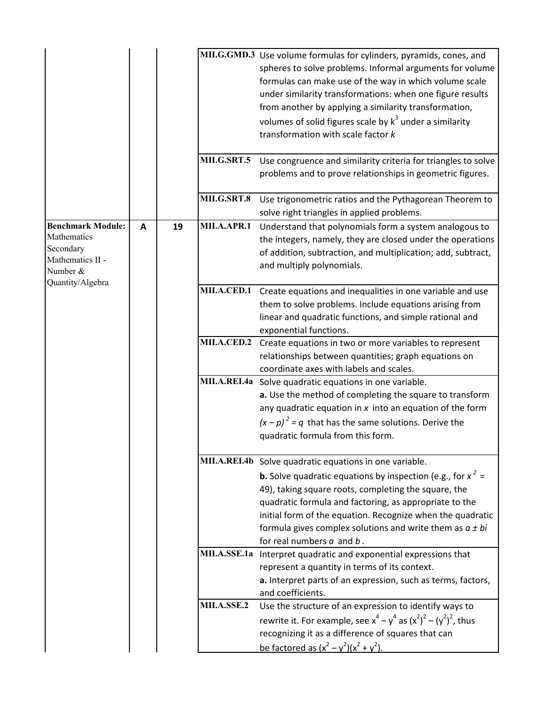|                                                                                                          |   |    | MILG.SRT.5  | MII.G.GMD.3 Use volume formulas for cylinders, pyramids, cones, and<br>spheres to solve problems. Informal arguments for volume<br>formulas can make use of the way in which volume scale<br>under similarity transformations: when one figure results<br>from another by applying a similarity transformation,<br>volumes of solid figures scale by $k^3$ under a similarity<br>transformation with scale factor k<br>Use congruence and similarity criteria for triangles to solve<br>problems and to prove relationships in geometric figures. |
|----------------------------------------------------------------------------------------------------------|---|----|-------------|---------------------------------------------------------------------------------------------------------------------------------------------------------------------------------------------------------------------------------------------------------------------------------------------------------------------------------------------------------------------------------------------------------------------------------------------------------------------------------------------------------------------------------------------------|
|                                                                                                          |   |    | MILG.SRT.8  | Use trigonometric ratios and the Pythagorean Theorem to<br>solve right triangles in applied problems.                                                                                                                                                                                                                                                                                                                                                                                                                                             |
| <b>Benchmark Module:</b><br>Mathematics<br>Secondary<br>Mathematics II -<br>Number &<br>Quantity/Algebra | A | 19 | MII.A.APR.1 | Understand that polynomials form a system analogous to<br>the integers, namely, they are closed under the operations<br>of addition, subtraction, and multiplication; add, subtract,<br>and multiply polynomials.                                                                                                                                                                                                                                                                                                                                 |
|                                                                                                          |   |    | MII.A.CED.1 | Create equations and inequalities in one variable and use<br>them to solve problems. Include equations arising from<br>linear and quadratic functions, and simple rational and<br>exponential functions.                                                                                                                                                                                                                                                                                                                                          |
|                                                                                                          |   |    | MII.A.CED.2 | Create equations in two or more variables to represent<br>relationships between quantities; graph equations on<br>coordinate axes with labels and scales.                                                                                                                                                                                                                                                                                                                                                                                         |
|                                                                                                          |   |    |             | MII.A.REI.4a Solve quadratic equations in one variable.<br>a. Use the method of completing the square to transform<br>any quadratic equation in $x$ into an equation of the form<br>$(x - p)^2 = q$ that has the same solutions. Derive the<br>quadratic formula from this form.                                                                                                                                                                                                                                                                  |
|                                                                                                          |   |    |             | MII.A.REI.4b Solve quadratic equations in one variable.<br><b>b.</b> Solve quadratic equations by inspection (e.g., for $x^2 =$<br>49), taking square roots, completing the square, the<br>quadratic formula and factoring, as appropriate to the<br>initial form of the equation. Recognize when the quadratic<br>formula gives complex solutions and write them as $a \pm bi$<br>for real numbers $a$ and $b$ .                                                                                                                                 |
|                                                                                                          |   |    |             | MII.A.SSE.1a Interpret quadratic and exponential expressions that<br>represent a quantity in terms of its context.<br>a. Interpret parts of an expression, such as terms, factors,<br>and coefficients.                                                                                                                                                                                                                                                                                                                                           |
|                                                                                                          |   |    | MII.A.SSE.2 | Use the structure of an expression to identify ways to<br>rewrite it. For example, see $x^4 - y^4$ as $(x^2)^2 - (y^2)^2$ , thus<br>recognizing it as a difference of squares that can<br>be factored as $(x^2 - y^2)(x^2 + y^2)$ .                                                                                                                                                                                                                                                                                                               |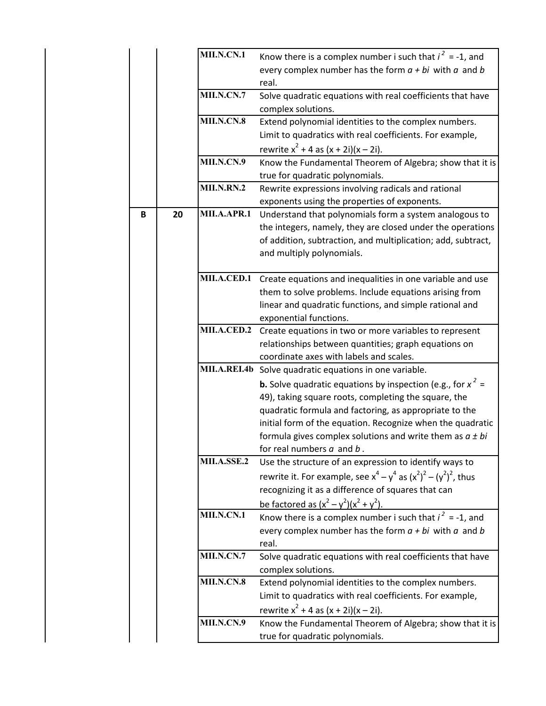|  |   |    | MII.N.CN.1        | Know there is a complex number i such that $i^2 = -1$ , and            |
|--|---|----|-------------------|------------------------------------------------------------------------|
|  |   |    |                   | every complex number has the form $a + bi$ with $a$ and $b$            |
|  |   |    |                   | real.                                                                  |
|  |   |    | MII.N.CN.7        | Solve quadratic equations with real coefficients that have             |
|  |   |    |                   | complex solutions.                                                     |
|  |   |    | MII.N.CN.8        | Extend polynomial identities to the complex numbers.                   |
|  |   |    |                   | Limit to quadratics with real coefficients. For example,               |
|  |   |    |                   | rewrite $x^2 + 4$ as $(x + 2i)(x - 2i)$ .                              |
|  |   |    | MII.N.CN.9        | Know the Fundamental Theorem of Algebra; show that it is               |
|  |   |    |                   | true for quadratic polynomials.                                        |
|  |   |    | <b>MII.N.RN.2</b> | Rewrite expressions involving radicals and rational                    |
|  |   |    |                   | exponents using the properties of exponents.                           |
|  | B | 20 | MII.A.APR.1       | Understand that polynomials form a system analogous to                 |
|  |   |    |                   | the integers, namely, they are closed under the operations             |
|  |   |    |                   | of addition, subtraction, and multiplication; add, subtract,           |
|  |   |    |                   | and multiply polynomials.                                              |
|  |   |    |                   |                                                                        |
|  |   |    |                   | MII.A.CED.1 Create equations and inequalities in one variable and use  |
|  |   |    |                   | them to solve problems. Include equations arising from                 |
|  |   |    |                   | linear and quadratic functions, and simple rational and                |
|  |   |    |                   | exponential functions.                                                 |
|  |   |    | MII.A.CED.2       | Create equations in two or more variables to represent                 |
|  |   |    |                   | relationships between quantities; graph equations on                   |
|  |   |    |                   | coordinate axes with labels and scales.                                |
|  |   |    |                   | MII.A.REI.4b Solve quadratic equations in one variable.                |
|  |   |    |                   | <b>b.</b> Solve quadratic equations by inspection (e.g., for $x^2 =$   |
|  |   |    |                   | 49), taking square roots, completing the square, the                   |
|  |   |    |                   | quadratic formula and factoring, as appropriate to the                 |
|  |   |    |                   | initial form of the equation. Recognize when the quadratic             |
|  |   |    |                   | formula gives complex solutions and write them as $a \pm bi$           |
|  |   |    |                   | for real numbers $a$ and $b$ .                                         |
|  |   |    | MII.A.SSE.2       | Use the structure of an expression to identify ways to                 |
|  |   |    |                   | rewrite it. For example, see $x^4 - y^4$ as $(x^2)^2 - (y^2)^2$ , thus |
|  |   |    |                   | recognizing it as a difference of squares that can                     |
|  |   |    |                   | be factored as $(x^2 - y^2)(x^2 + y^2)$ .                              |
|  |   |    | MII.N.CN.1        | Know there is a complex number i such that $i^2 = -1$ , and            |
|  |   |    |                   | every complex number has the form $a + bi$ with $a$ and $b$            |
|  |   |    |                   | real.                                                                  |
|  |   |    | MII.N.CN.7        | Solve quadratic equations with real coefficients that have             |
|  |   |    |                   | complex solutions.                                                     |
|  |   |    | MII.N.CN.8        | Extend polynomial identities to the complex numbers.                   |
|  |   |    |                   | Limit to quadratics with real coefficients. For example,               |
|  |   |    |                   | rewrite $x^2 + 4$ as $(x + 2i)(x - 2i)$ .                              |
|  |   |    | MII.N.CN.9        | Know the Fundamental Theorem of Algebra; show that it is               |
|  |   |    |                   | true for quadratic polynomials.                                        |
|  |   |    |                   |                                                                        |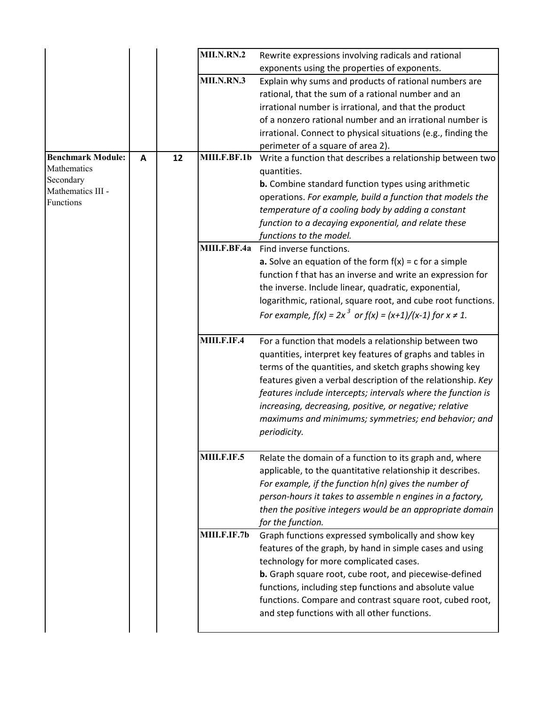|                                |              |    | <b>MII.N.RN.2</b> | Rewrite expressions involving radicals and rational                |
|--------------------------------|--------------|----|-------------------|--------------------------------------------------------------------|
|                                |              |    |                   | exponents using the properties of exponents.                       |
|                                |              |    | MII.N.RN.3        | Explain why sums and products of rational numbers are              |
|                                |              |    |                   | rational, that the sum of a rational number and an                 |
|                                |              |    |                   | irrational number is irrational, and that the product              |
|                                |              |    |                   | of a nonzero rational number and an irrational number is           |
|                                |              |    |                   | irrational. Connect to physical situations (e.g., finding the      |
|                                |              |    |                   | perimeter of a square of area 2).                                  |
| <b>Benchmark Module:</b>       | $\mathbf{A}$ | 12 | MIII.F.BF.1b      | Write a function that describes a relationship between two         |
| Mathematics                    |              |    |                   | quantities.                                                        |
| Secondary<br>Mathematics III - |              |    |                   | <b>b.</b> Combine standard function types using arithmetic         |
| Functions                      |              |    |                   | operations. For example, build a function that models the          |
|                                |              |    |                   | temperature of a cooling body by adding a constant                 |
|                                |              |    |                   | function to a decaying exponential, and relate these               |
|                                |              |    |                   | functions to the model.                                            |
|                                |              |    | MIII.F.BF.4a      | Find inverse functions.                                            |
|                                |              |    |                   | <b>a.</b> Solve an equation of the form $f(x) = c$ for a simple    |
|                                |              |    |                   | function f that has an inverse and write an expression for         |
|                                |              |    |                   | the inverse. Include linear, quadratic, exponential,               |
|                                |              |    |                   | logarithmic, rational, square root, and cube root functions.       |
|                                |              |    |                   | For example, $f(x) = 2x^3$ or $f(x) = (x+1)/(x-1)$ for $x \ne 1$ . |
|                                |              |    |                   |                                                                    |
|                                |              |    | MIII.F.IF.4       | For a function that models a relationship between two              |
|                                |              |    |                   | quantities, interpret key features of graphs and tables in         |
|                                |              |    |                   | terms of the quantities, and sketch graphs showing key             |
|                                |              |    |                   | features given a verbal description of the relationship. Key       |
|                                |              |    |                   | features include intercepts; intervals where the function is       |
|                                |              |    |                   | increasing, decreasing, positive, or negative; relative            |
|                                |              |    |                   | maximums and minimums; symmetries; end behavior; and               |
|                                |              |    |                   | periodicity.                                                       |
|                                |              |    |                   |                                                                    |
|                                |              |    | MIII.F.IF.5       | Relate the domain of a function to its graph and, where            |
|                                |              |    |                   | applicable, to the quantitative relationship it describes.         |
|                                |              |    |                   | For example, if the function $h(n)$ gives the number of            |
|                                |              |    |                   | person-hours it takes to assemble n engines in a factory,          |
|                                |              |    |                   | then the positive integers would be an appropriate domain          |
|                                |              |    |                   | for the function.                                                  |
|                                |              |    | MIII.F.IF.7b      | Graph functions expressed symbolically and show key                |
|                                |              |    |                   | features of the graph, by hand in simple cases and using           |
|                                |              |    |                   | technology for more complicated cases.                             |
|                                |              |    |                   | <b>b.</b> Graph square root, cube root, and piecewise-defined      |
|                                |              |    |                   | functions, including step functions and absolute value             |
|                                |              |    |                   | functions. Compare and contrast square root, cubed root,           |
|                                |              |    |                   | and step functions with all other functions.                       |
|                                |              |    |                   |                                                                    |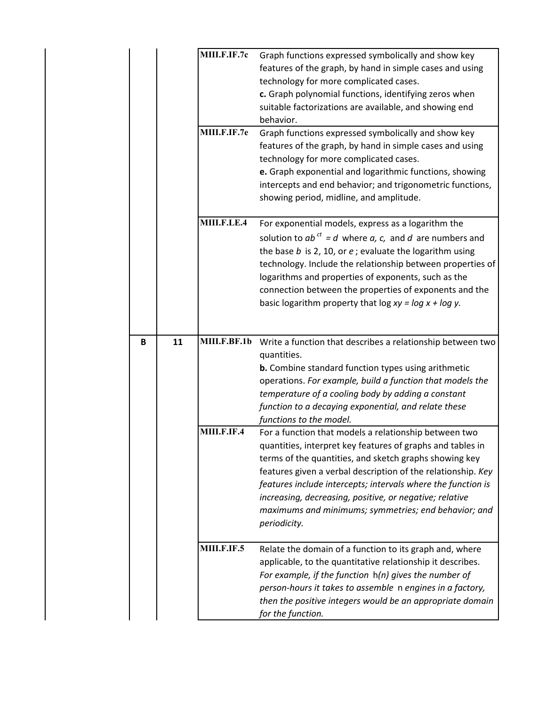|  |   |    | MIII.F.IF.7c<br>MIII.F.IF.7e | Graph functions expressed symbolically and show key<br>features of the graph, by hand in simple cases and using<br>technology for more complicated cases.<br>c. Graph polynomial functions, identifying zeros when<br>suitable factorizations are available, and showing end<br>behavior.                                                                                                                                                        |
|--|---|----|------------------------------|--------------------------------------------------------------------------------------------------------------------------------------------------------------------------------------------------------------------------------------------------------------------------------------------------------------------------------------------------------------------------------------------------------------------------------------------------|
|  |   |    |                              | Graph functions expressed symbolically and show key<br>features of the graph, by hand in simple cases and using<br>technology for more complicated cases.<br>e. Graph exponential and logarithmic functions, showing<br>intercepts and end behavior; and trigonometric functions,<br>showing period, midline, and amplitude.                                                                                                                     |
|  |   |    | MIII.F.LE.4                  | For exponential models, express as a logarithm the<br>solution to $ab^{ct} = d$ where $a, c,$ and $d$ are numbers and<br>the base $b$ is 2, 10, or $e$ ; evaluate the logarithm using<br>technology. Include the relationship between properties of<br>logarithms and properties of exponents, such as the<br>connection between the properties of exponents and the<br>basic logarithm property that log $xy = log x + log y$ .                 |
|  | B | 11 | MIII.F.BF.1b                 | Write a function that describes a relationship between two<br>quantities.<br><b>b.</b> Combine standard function types using arithmetic<br>operations. For example, build a function that models the<br>temperature of a cooling body by adding a constant<br>function to a decaying exponential, and relate these<br>functions to the model.                                                                                                    |
|  |   |    | MIII.F.IF.4                  | For a function that models a relationship between two<br>quantities, interpret key features of graphs and tables in<br>terms of the quantities, and sketch graphs showing key<br>features given a verbal description of the relationship. Key<br>features include intercepts; intervals where the function is<br>increasing, decreasing, positive, or negative; relative<br>maximums and minimums; symmetries; end behavior; and<br>periodicity. |
|  |   |    | MIII.F.IF.5                  | Relate the domain of a function to its graph and, where<br>applicable, to the quantitative relationship it describes.<br>For example, if the function $h(n)$ gives the number of<br>person-hours it takes to assemble n engines in a factory,<br>then the positive integers would be an appropriate domain<br>for the function.                                                                                                                  |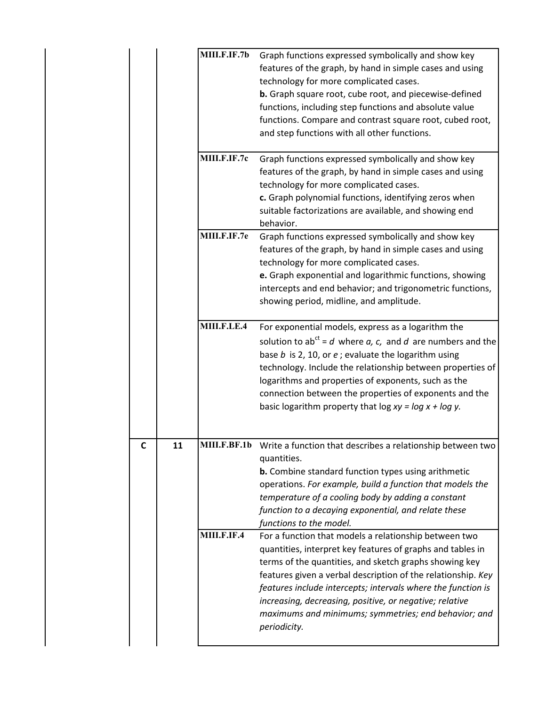|    | MIII.F.IF.7b | Graph functions expressed symbolically and show key<br>features of the graph, by hand in simple cases and using<br>technology for more complicated cases.<br>b. Graph square root, cube root, and piecewise-defined<br>functions, including step functions and absolute value<br>functions. Compare and contrast square root, cubed root,<br>and step functions with all other functions.                                                        |
|----|--------------|--------------------------------------------------------------------------------------------------------------------------------------------------------------------------------------------------------------------------------------------------------------------------------------------------------------------------------------------------------------------------------------------------------------------------------------------------|
|    | MIII.F.IF.7c | Graph functions expressed symbolically and show key<br>features of the graph, by hand in simple cases and using<br>technology for more complicated cases.<br>c. Graph polynomial functions, identifying zeros when<br>suitable factorizations are available, and showing end<br>behavior.                                                                                                                                                        |
|    | MIII.F.IF.7e | Graph functions expressed symbolically and show key<br>features of the graph, by hand in simple cases and using<br>technology for more complicated cases.<br>e. Graph exponential and logarithmic functions, showing<br>intercepts and end behavior; and trigonometric functions,<br>showing period, midline, and amplitude.                                                                                                                     |
|    | MIII.F.LE.4  | For exponential models, express as a logarithm the<br>solution to ab <sup>ct</sup> = d where a, c, and d are numbers and the<br>base $b$ is 2, 10, or $e$ ; evaluate the logarithm using<br>technology. Include the relationship between properties of<br>logarithms and properties of exponents, such as the<br>connection between the properties of exponents and the<br>basic logarithm property that $\log xy = \log x + \log y$ .           |
| 11 |              | MIII.F.BF.1b Write a function that describes a relationship between two<br>quantities.<br><b>b.</b> Combine standard function types using arithmetic<br>operations. For example, build a function that models the<br>temperature of a cooling body by adding a constant<br>function to a decaying exponential, and relate these<br>functions to the model.                                                                                       |
|    | MIII.F.IF.4  | For a function that models a relationship between two<br>quantities, interpret key features of graphs and tables in<br>terms of the quantities, and sketch graphs showing key<br>features given a verbal description of the relationship. Key<br>features include intercepts; intervals where the function is<br>increasing, decreasing, positive, or negative; relative<br>maximums and minimums; symmetries; end behavior; and<br>periodicity. |

**C 11**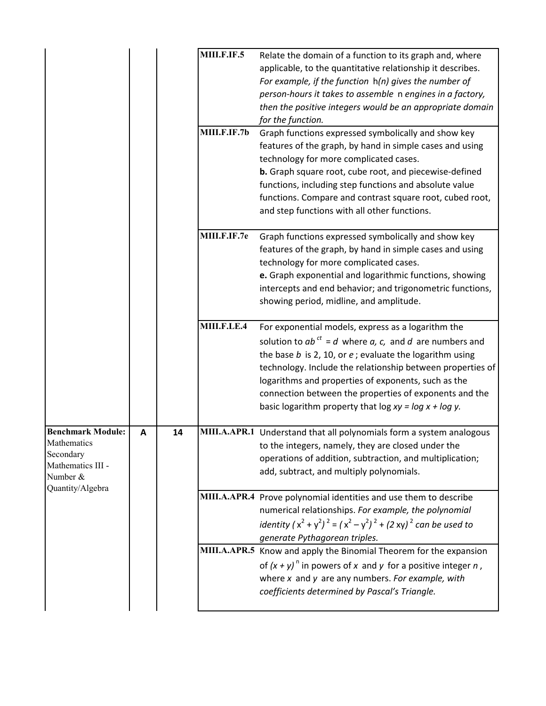|                                                                                                           |   |    | <b>MIII.F.IF.5</b> | Relate the domain of a function to its graph and, where<br>applicable, to the quantitative relationship it describes.<br>For example, if the function $h(n)$ gives the number of<br>person-hours it takes to assemble n engines in a factory,<br>then the positive integers would be an appropriate domain<br>for the function.                                                                                              |
|-----------------------------------------------------------------------------------------------------------|---|----|--------------------|------------------------------------------------------------------------------------------------------------------------------------------------------------------------------------------------------------------------------------------------------------------------------------------------------------------------------------------------------------------------------------------------------------------------------|
|                                                                                                           |   |    | MIII.F.IF.7b       | Graph functions expressed symbolically and show key<br>features of the graph, by hand in simple cases and using<br>technology for more complicated cases.<br>b. Graph square root, cube root, and piecewise-defined<br>functions, including step functions and absolute value<br>functions. Compare and contrast square root, cubed root,<br>and step functions with all other functions.                                    |
|                                                                                                           |   |    | MIII.F.IF.7e       | Graph functions expressed symbolically and show key<br>features of the graph, by hand in simple cases and using<br>technology for more complicated cases.<br>e. Graph exponential and logarithmic functions, showing<br>intercepts and end behavior; and trigonometric functions,<br>showing period, midline, and amplitude.                                                                                                 |
|                                                                                                           |   |    | MIII.F.LE.4        | For exponential models, express as a logarithm the<br>solution to $ab^{ct} = d$ where a, c, and d are numbers and<br>the base $b$ is 2, 10, or $e$ ; evaluate the logarithm using<br>technology. Include the relationship between properties of<br>logarithms and properties of exponents, such as the<br>connection between the properties of exponents and the<br>basic logarithm property that log $xy = log x + log y$ . |
| <b>Benchmark Module:</b><br>Mathematics<br>Secondary<br>Mathematics III -<br>Number &<br>Quantity/Algebra | A | 14 |                    | MIII.A.APR.1 Understand that all polynomials form a system analogous<br>to the integers, namely, they are closed under the<br>operations of addition, subtraction, and multiplication;<br>add, subtract, and multiply polynomials.                                                                                                                                                                                           |
|                                                                                                           |   |    |                    | MIII.A.APR.4 Prove polynomial identities and use them to describe<br>numerical relationships. For example, the polynomial<br>identity $(x^2 + y^2)^2 = (x^2 - y^2)^2 + (2xy)^2$ can be used to<br>generate Pythagorean triples.                                                                                                                                                                                              |
|                                                                                                           |   |    |                    | MIII.A.APR.5 Know and apply the Binomial Theorem for the expansion<br>of $(x + y)^n$ in powers of x and y for a positive integer n,<br>where $x$ and $y$ are any numbers. For example, with<br>coefficients determined by Pascal's Triangle.                                                                                                                                                                                 |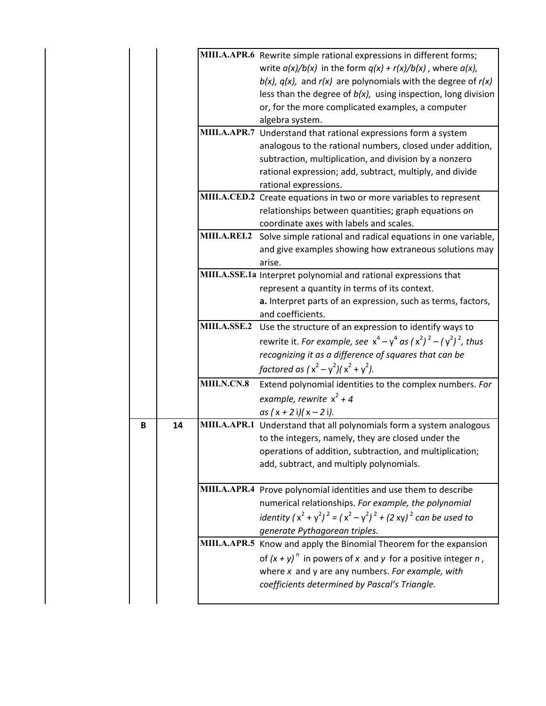|   |    |                     | MIII.A.APR.6 Rewrite simple rational expressions in different forms;<br>write $a(x)/b(x)$ in the form $q(x) + r(x)/b(x)$ , where $a(x)$ ,<br>$b(x)$ , $q(x)$ , and $r(x)$ are polynomials with the degree of $r(x)$<br>less than the degree of $b(x)$ , using inspection, long division<br>or, for the more complicated examples, a computer<br>algebra system. |
|---|----|---------------------|-----------------------------------------------------------------------------------------------------------------------------------------------------------------------------------------------------------------------------------------------------------------------------------------------------------------------------------------------------------------|
|   |    |                     | MIII.A.APR.7 Understand that rational expressions form a system<br>analogous to the rational numbers, closed under addition,<br>subtraction, multiplication, and division by a nonzero<br>rational expression; add, subtract, multiply, and divide<br>rational expressions.                                                                                     |
|   |    |                     | MIII.A.CED.2 Create equations in two or more variables to represent<br>relationships between quantities; graph equations on<br>coordinate axes with labels and scales.                                                                                                                                                                                          |
|   |    | MIII.A.REI.2        | Solve simple rational and radical equations in one variable,<br>and give examples showing how extraneous solutions may<br>arise.                                                                                                                                                                                                                                |
|   |    |                     | MIII.A.SSE.1a Interpret polynomial and rational expressions that<br>represent a quantity in terms of its context.<br>a. Interpret parts of an expression, such as terms, factors,<br>and coefficients.                                                                                                                                                          |
|   |    | <b>MIII.A.SSE.2</b> | Use the structure of an expression to identify ways to<br>rewrite it. For example, see $x^4 - y^4$ as $(x^2)^2 - (y^2)^2$ , thus<br>recognizing it as a difference of squares that can be<br>factored as $(x^2 - y^2)(x^2 + y^2)$ .                                                                                                                             |
|   |    | <b>MIII.N.CN.8</b>  | Extend polynomial identities to the complex numbers. For<br>example, rewrite $x^2 + 4$<br>as $(x + 2i)(x - 2i)$ .                                                                                                                                                                                                                                               |
| B | 14 |                     | MIII.A.APR.1 Understand that all polynomials form a system analogous<br>to the integers, namely, they are closed under the<br>operations of addition, subtraction, and multiplication;<br>add, subtract, and multiply polynomials.                                                                                                                              |
|   |    |                     | MIII.A.APR.4 Prove polynomial identities and use them to describe<br>numerical relationships. For example, the polynomial<br>identity $(x^2 + y^2)^2 = (x^2 - y^2)^2 + (2xy)^2$ can be used to<br>generate Pythagorean triples.                                                                                                                                 |
|   |    |                     | MIII.A.APR.5 Know and apply the Binomial Theorem for the expansion<br>of $(x + y)^n$ in powers of x and y for a positive integer n,<br>where $x$ and $y$ are any numbers. For example, with<br>coefficients determined by Pascal's Triangle.                                                                                                                    |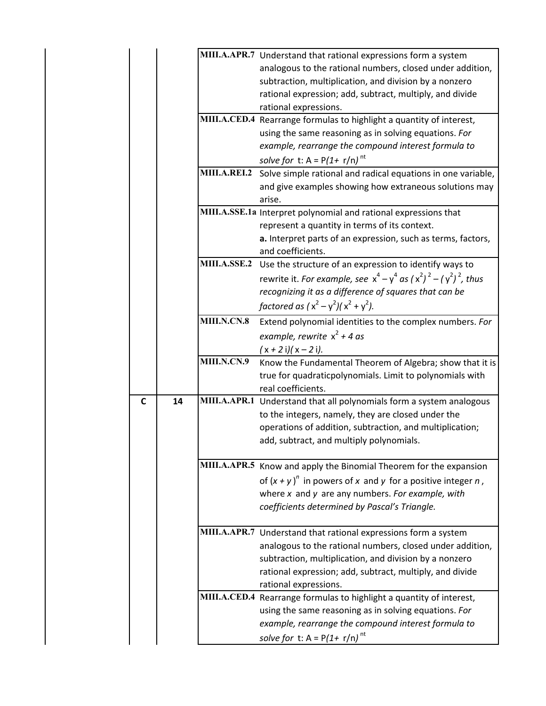|             |    |              | MIII.A.APR.7 Understand that rational expressions form a system        |
|-------------|----|--------------|------------------------------------------------------------------------|
|             |    |              | analogous to the rational numbers, closed under addition,              |
|             |    |              | subtraction, multiplication, and division by a nonzero                 |
|             |    |              | rational expression; add, subtract, multiply, and divide               |
|             |    |              | rational expressions.                                                  |
|             |    |              | MIII.A.CED.4 Rearrange formulas to highlight a quantity of interest,   |
|             |    |              | using the same reasoning as in solving equations. For                  |
|             |    |              | example, rearrange the compound interest formula to                    |
|             |    |              | solve for t: A = $P(1 + r/n)^{nt}$                                     |
|             |    | MIII.A.REI.2 | Solve simple rational and radical equations in one variable,           |
|             |    |              | and give examples showing how extraneous solutions may                 |
|             |    |              | arise.                                                                 |
|             |    |              | MIII.A.SSE.1a Interpret polynomial and rational expressions that       |
|             |    |              | represent a quantity in terms of its context.                          |
|             |    |              | a. Interpret parts of an expression, such as terms, factors,           |
|             |    |              | and coefficients.                                                      |
|             |    |              | MIII.A.SSE.2 Use the structure of an expression to identify ways to    |
|             |    |              | rewrite it. For example, see $x^4 - y^4$ as $(x^2)^2 - (y^2)^2$ , thus |
|             |    |              | recognizing it as a difference of squares that can be                  |
|             |    |              | factored as $(x^2 - y^2)(x^2 + y^2)$ .                                 |
|             |    | MIII.N.CN.8  | Extend polynomial identities to the complex numbers. For               |
|             |    |              | example, rewrite $x^2 + 4$ as                                          |
|             |    |              | $(x + 2i)(x - 2i)$ .                                                   |
|             |    | MIII.N.CN.9  | Know the Fundamental Theorem of Algebra; show that it is               |
|             |    |              | true for quadraticpolynomials. Limit to polynomials with               |
|             |    |              | real coefficients.                                                     |
| $\mathbf c$ | 14 |              | MIII.A.APR.1 Understand that all polynomials form a system analogous   |
|             |    |              | to the integers, namely, they are closed under the                     |
|             |    |              | operations of addition, subtraction, and multiplication;               |
|             |    |              | add, subtract, and multiply polynomials.                               |
|             |    |              |                                                                        |
|             |    |              | MIII.A.APR.5 Know and apply the Binomial Theorem for the expansion     |
|             |    |              | of $(x + y)^n$ in powers of x and y for a positive integer n,          |
|             |    |              | where $x$ and $y$ are any numbers. For example, with                   |
|             |    |              | coefficients determined by Pascal's Triangle.                          |
|             |    |              |                                                                        |
|             |    |              | MIII.A.APR.7 Understand that rational expressions form a system        |
|             |    |              | analogous to the rational numbers, closed under addition,              |
|             |    |              | subtraction, multiplication, and division by a nonzero                 |
|             |    |              | rational expression; add, subtract, multiply, and divide               |
|             |    |              | rational expressions.                                                  |
|             |    |              | MIII.A.CED.4 Rearrange formulas to highlight a quantity of interest,   |
|             |    |              | using the same reasoning as in solving equations. For                  |
|             |    |              | example, rearrange the compound interest formula to                    |
|             |    |              | solve for t: $A = P(1 + r/n)^{nt}$                                     |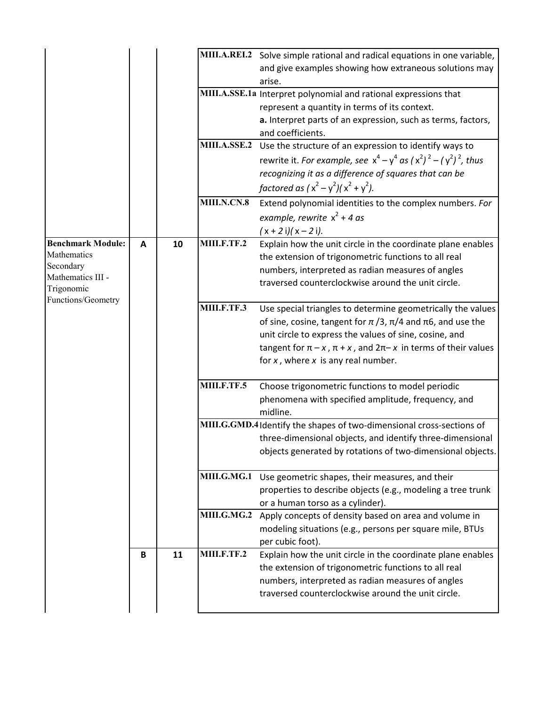|                                |   |    |             | MIII.A.REI.2 Solve simple rational and radical equations in one variable,   |
|--------------------------------|---|----|-------------|-----------------------------------------------------------------------------|
|                                |   |    |             | and give examples showing how extraneous solutions may                      |
|                                |   |    |             | arise.                                                                      |
|                                |   |    |             | MIII.A.SSE.1a Interpret polynomial and rational expressions that            |
|                                |   |    |             | represent a quantity in terms of its context.                               |
|                                |   |    |             | a. Interpret parts of an expression, such as terms, factors,                |
|                                |   |    |             | and coefficients.                                                           |
|                                |   |    |             | MIII.A.SSE.2 Use the structure of an expression to identify ways to         |
|                                |   |    |             | rewrite it. For example, see $x^4 - y^4$ as $(x^2)^2 - (y^2)^2$ , thus      |
|                                |   |    |             | recognizing it as a difference of squares that can be                       |
|                                |   |    |             | factored as $(x^2 - y^2)(x^2 + y^2)$ .                                      |
|                                |   |    | MIII.N.CN.8 | Extend polynomial identities to the complex numbers. For                    |
|                                |   |    |             | example, rewrite $x^2 + 4$ as                                               |
|                                |   |    |             | $(x + 2i)(x - 2i)$ .                                                        |
| <b>Benchmark Module:</b>       | A | 10 | MIII.F.TF.2 | Explain how the unit circle in the coordinate plane enables                 |
| Mathematics                    |   |    |             | the extension of trigonometric functions to all real                        |
| Secondary<br>Mathematics III - |   |    |             | numbers, interpreted as radian measures of angles                           |
| Trigonomic                     |   |    |             | traversed counterclockwise around the unit circle.                          |
| Functions/Geometry             |   |    |             |                                                                             |
|                                |   |    | MIII.F.TF.3 | Use special triangles to determine geometrically the values                 |
|                                |   |    |             | of sine, cosine, tangent for $\pi/3$ , $\pi/4$ and $\pi$ 6, and use the     |
|                                |   |    |             | unit circle to express the values of sine, cosine, and                      |
|                                |   |    |             | tangent for $\pi - x$ , $\pi + x$ , and $2\pi - x$ in terms of their values |
|                                |   |    |             | for $x$ , where $x$ is any real number.                                     |
|                                |   |    | MIII.F.TF.5 | Choose trigonometric functions to model periodic                            |
|                                |   |    |             | phenomena with specified amplitude, frequency, and                          |
|                                |   |    |             | midline.                                                                    |
|                                |   |    |             | MIII.G.GMD.4 Identify the shapes of two-dimensional cross-sections of       |
|                                |   |    |             | three-dimensional objects, and identify three-dimensional                   |
|                                |   |    |             | objects generated by rotations of two-dimensional objects.                  |
|                                |   |    | MIII.G.MG.1 | Use geometric shapes, their measures, and their                             |
|                                |   |    |             | properties to describe objects (e.g., modeling a tree trunk                 |
|                                |   |    |             | or a human torso as a cylinder).                                            |
|                                |   |    |             | MIII.G.MG.2 Apply concepts of density based on area and volume in           |
|                                |   |    |             | modeling situations (e.g., persons per square mile, BTUs                    |
|                                |   |    |             | per cubic foot).                                                            |
|                                | В | 11 | MIII.F.TF.2 | Explain how the unit circle in the coordinate plane enables                 |
|                                |   |    |             | the extension of trigonometric functions to all real                        |
|                                |   |    |             | numbers, interpreted as radian measures of angles                           |
|                                |   |    |             | traversed counterclockwise around the unit circle.                          |
|                                |   |    |             |                                                                             |